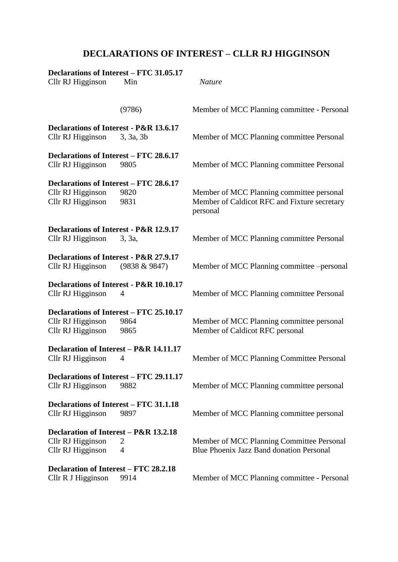## **DECLARATIONS OF INTEREST – CLLR RJ HIGGINSON**

| Declarations of Interest – FTC 31.05.17<br>Cllr RJ Higginson<br>Min               |                     | <b>Nature</b>                                                                                         |  |
|-----------------------------------------------------------------------------------|---------------------|-------------------------------------------------------------------------------------------------------|--|
|                                                                                   | (9786)              | Member of MCC Planning committee - Personal                                                           |  |
| Declarations of Interest - P&R 13.6.17<br>Cllr RJ Higginson                       | 3, 3a, 3b           | Member of MCC Planning committee Personal                                                             |  |
| Declarations of Interest – FTC 28.6.17<br>Cllr RJ Higginson                       | 9805                | Member of MCC Planning committee Personal                                                             |  |
| Declarations of Interest – FTC 28.6.17<br>Cllr RJ Higginson<br>Cllr RJ Higginson  | 9820<br>9831        | Member of MCC Planning committee personal<br>Member of Caldicot RFC and Fixture secretary<br>personal |  |
| Declarations of Interest - P&R 12.9.17<br>Cllr RJ Higginson                       | 3, 3a,              | Member of MCC Planning committee Personal                                                             |  |
| Declarations of Interest - P&R 27.9.17<br>Cllr RJ Higginson                       | $(9838 \& 9847)$    | Member of MCC Planning committee -personal                                                            |  |
| Declarations of Interest - P&R 10.10.17<br>Cllr RJ Higginson                      | 4                   | Member of MCC Planning committee Personal                                                             |  |
| Declarations of Interest – FTC 25.10.17<br>Cllr RJ Higginson<br>Cllr RJ Higginson | 9864<br>9865        | Member of MCC Planning committee personal<br>Member of Caldicot RFC personal                          |  |
| Declaration of Interest - P&R 14.11.17<br>Cllr RJ Higginson                       | 4                   | Member of MCC Planning Committee Personal                                                             |  |
| Declarations of Interest - FTC 29.11.17<br>Cllr RJ Higginson                      | 9882                | Member of MCC Planning committee personal                                                             |  |
| Declarations of Interest – FTC 31.1.18<br>Cllr RJ Higginson                       | 9897                | Member of MCC Planning committee personal                                                             |  |
| Declaration of Interest – P&R 13.2.18<br>Cllr RJ Higginson<br>Cllr RJ Higginson   | 2<br>$\overline{4}$ | Member of MCC Planning Committee Personal<br>Blue Phoenix Jazz Band donation Personal                 |  |
| Declaration of Interest – FTC 28.2.18<br>Cllr R J Higginson                       | 9914                | Member of MCC Planning committee - Personal                                                           |  |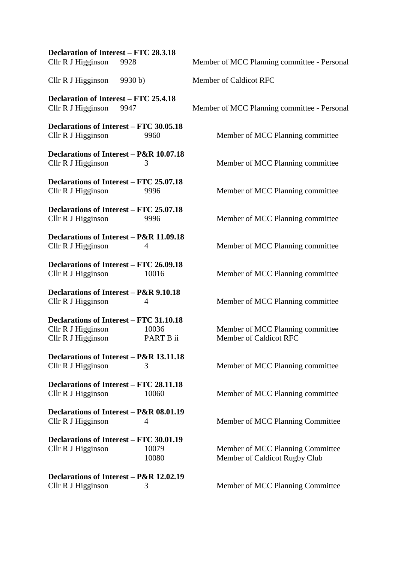| <b>Declaration of Interest - FTC 28.3.18</b><br>Cllr R J Higginson 9928                    |                                                                     | ľ |
|--------------------------------------------------------------------------------------------|---------------------------------------------------------------------|---|
| Cllr R J Higginson 9930 b)                                                                 |                                                                     | ľ |
| <b>Declaration of Interest - FTC 25.4.18</b><br>Cllr R J Higginson 9947                    |                                                                     | ľ |
| <b>Declarations of Interest - FTC 30.05.18</b><br>Cllr R J Higginson                       | 9960                                                                |   |
| Cllr R J Higginson                                                                         | Declarations of Interest - P&R 10.07.18<br>3                        |   |
| Declarations of Interest - FTC 25.07.18<br>Cllr R J Higginson                              | 9996                                                                |   |
| Declarations of Interest - FTC 25.07.18<br>Cllr R J Higginson                              | 9996                                                                |   |
| Cllr R J Higginson                                                                         | Declarations of Interest - P&R 11.09.18<br>$\overline{\mathcal{A}}$ |   |
| Cllr R J Higginson                                                                         | <b>Declarations of Interest - FTC 26.09.18</b><br>10016             |   |
| Declarations of Interest - P&R 9.10.18<br>Cllr R J Higginson                               | $\overline{\mathcal{A}}$                                            |   |
| <b>Declarations of Interest - FTC 31.10.18</b><br>Cllr R J Higginson<br>Cllr R J Higginson | 10036<br>PART B ii                                                  |   |
| Cllr R J Higginson                                                                         | Declarations of Interest - P&R 13.11.18<br>3                        |   |
| Declarations of Interest - FTC 28.11.18<br>Cllr R J Higginson                              | 10060                                                               |   |
| Cllr R J Higginson                                                                         | Declarations of Interest - P&R 08.01.19<br>$\overline{\mathcal{A}}$ |   |
| <b>Declarations of Interest – FTC 30.01.19</b><br>Cllr R J Higginson                       | 10079<br>10080                                                      |   |
| Cllr R J Higginson                                                                         | Declarations of Interest – P&R 12.02.19<br>3                        |   |

Member of MCC Planning committee - Personal Member of Caldicot RFC

Member of MCC Planning committee - Personal

Member of MCC Planning committee

Member of MCC Planning committee

Member of MCC Planning committee

Member of MCC Planning committee

Member of MCC Planning committee

Member of MCC Planning committee

Member of MCC Planning committee

Member of MCC Planning committee Member of Caldicot RFC

Member of MCC Planning committee

Member of MCC Planning committee

Member of MCC Planning Committee

Member of MCC Planning Committee Member of Caldicot Rugby Club

Member of MCC Planning Committee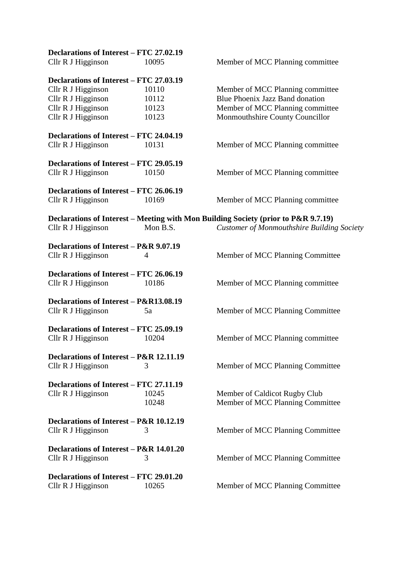| Declarations of Interest - FTC 27.02.19 |          |                                                                                    |
|-----------------------------------------|----------|------------------------------------------------------------------------------------|
| Cllr R J Higginson                      | 10095    | Member of MCC Planning committee                                                   |
| Declarations of Interest – FTC 27.03.19 |          |                                                                                    |
| Cllr R J Higginson                      | 10110    | Member of MCC Planning committee                                                   |
| Cllr R J Higginson                      | 10112    | Blue Phoenix Jazz Band donation                                                    |
| Cllr R J Higginson                      | 10123    | Member of MCC Planning committee                                                   |
| Cllr R J Higginson                      | 10123    | Monmouthshire County Councillor                                                    |
| Declarations of Interest – FTC 24.04.19 |          |                                                                                    |
| Cllr R J Higginson                      | 10131    | Member of MCC Planning committee                                                   |
| Declarations of Interest – FTC 29.05.19 |          |                                                                                    |
| Cllr R J Higginson                      | 10150    | Member of MCC Planning committee                                                   |
| Declarations of Interest – FTC 26.06.19 |          |                                                                                    |
| Cllr R J Higginson                      | 10169    | Member of MCC Planning committee                                                   |
|                                         |          | Declarations of Interest – Meeting with Mon Building Society (prior to P&R 9.7.19) |
| Cllr R J Higginson                      | Mon B.S. | <b>Customer of Monmouthshire Building Society</b>                                  |
| Declarations of Interest – P&R 9.07.19  |          |                                                                                    |
| Cllr R J Higginson                      | 4        | Member of MCC Planning Committee                                                   |
| Declarations of Interest - FTC 26.06.19 |          |                                                                                    |
| Cllr R J Higginson                      | 10186    | Member of MCC Planning committee                                                   |
| Declarations of Interest - P&R13.08.19  |          |                                                                                    |
| Cllr R J Higginson                      | 5a       | Member of MCC Planning Committee                                                   |
| Declarations of Interest - FTC 25.09.19 |          |                                                                                    |
| Cllr R J Higginson                      | 10204    | Member of MCC Planning committee                                                   |
| Declarations of Interest - P&R 12.11.19 |          |                                                                                    |
| Cllr R J Higginson                      | 3        | Member of MCC Planning Committee                                                   |
| Declarations of Interest – FTC 27.11.19 |          |                                                                                    |
| Cllr R J Higginson                      | 10245    | Member of Caldicot Rugby Club                                                      |
|                                         | 10248    | Member of MCC Planning Committee                                                   |
| Declarations of Interest - P&R 10.12.19 |          |                                                                                    |
| Cllr R J Higginson                      | 3        | Member of MCC Planning Committee                                                   |
| Declarations of Interest - P&R 14.01.20 |          |                                                                                    |
| Cllr R J Higginson                      | 3        | Member of MCC Planning Committee                                                   |
| Declarations of Interest – FTC 29.01.20 |          |                                                                                    |
| Cllr R J Higginson                      | 10265    | Member of MCC Planning Committee                                                   |
|                                         |          |                                                                                    |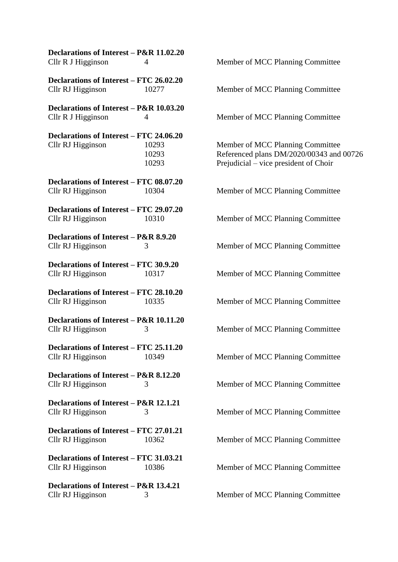| Declarations of Interest - P&R 11.02.20<br>Cllr R J Higginson       | 4                       |
|---------------------------------------------------------------------|-------------------------|
| Declarations of Interest – FTC 26.02.20<br>Cllr RJ Higginson        | 10277                   |
| Declarations of Interest - P&R 10.03.20<br>Cllr R J Higginson       | $\overline{4}$          |
| <b>Declarations of Interest – FTC 24.06.20</b><br>Cllr RJ Higginson | 10293<br>10293<br>10293 |
| <b>Declarations of Interest – FTC 08.07.20</b><br>Cllr RJ Higginson | 10304                   |
| Declarations of Interest - FTC 29.07.20<br>Cllr RJ Higginson        | 10310                   |
| Declarations of Interest - P&R 8.9.20<br>Cllr RJ Higginson          | 3                       |
| Declarations of Interest - FTC 30.9.20<br>Cllr RJ Higginson         | 10317                   |
| Declarations of Interest - FTC 28.10.20<br>Cllr RJ Higginson        | 10335                   |
| Declarations of Interest - P&R 10.11.20<br>Cllr RJ Higginson        | 3                       |
| Declarations of Interest - FTC 25.11.20<br>Cllr RJ Higginson        | 10349                   |
| Declarations of Interest - P&R 8.12.20<br>Cllr RJ Higginson         | 3                       |
| Declarations of Interest - P&R 12.1.21<br>Cllr RJ Higginson         | 3                       |
| Declarations of Interest – FTC 27.01.21<br>Cllr RJ Higginson        | 10362                   |
| Declarations of Interest - FTC 31.03.21<br>Cllr RJ Higginson        | 10386                   |
| Declarations of Interest - P&R 13.4.21<br>Cllr RJ Higginson         | 3                       |

Member of MCC Planning Committee Member of MCC Planning Committee Member of MCC Planning Committee Member of MCC Planning Committee 10293 Referenced plans DM/2020/00343 and 00726 Prejudicial – vice president of Choir Member of MCC Planning Committee Member of MCC Planning Committee Member of MCC Planning Committee Member of MCC Planning Committee Member of MCC Planning Committee Member of MCC Planning Committee Member of MCC Planning Committee Member of MCC Planning Committee Member of MCC Planning Committee Member of MCC Planning Committee Member of MCC Planning Committee Member of MCC Planning Committee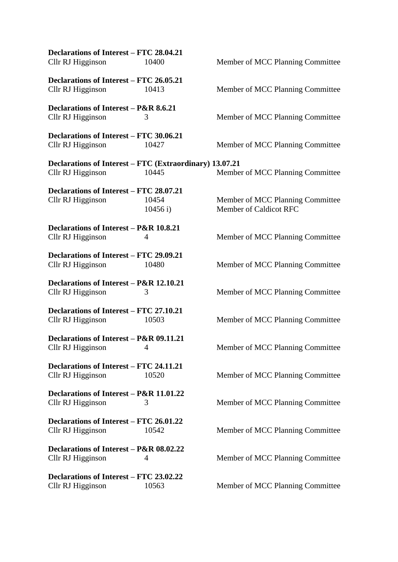| Declarations of Interest – FTC 28.04.21<br>Cllr RJ Higginson                 | 10400            | Member of MCC Planning Committee                           |
|------------------------------------------------------------------------------|------------------|------------------------------------------------------------|
| Declarations of Interest - FTC 26.05.21<br>Cllr RJ Higginson                 | 10413            | Member of MCC Planning Committee                           |
| Declarations of Interest – P&R 8.6.21<br>Cllr RJ Higginson                   | 3                | Member of MCC Planning Committee                           |
| Declarations of Interest - FTC 30.06.21<br>Cllr RJ Higginson                 | 10427            | Member of MCC Planning Committee                           |
| Declarations of Interest – FTC (Extraordinary) 13.07.21<br>Cllr RJ Higginson | 10445            | Member of MCC Planning Committee                           |
| Declarations of Interest – FTC 28.07.21<br>Cllr RJ Higginson                 | 10454<br>10456 i | Member of MCC Planning Committee<br>Member of Caldicot RFC |
| Declarations of Interest – P&R 10.8.21<br>Cllr RJ Higginson                  | 4                | Member of MCC Planning Committee                           |
| Declarations of Interest – FTC 29.09.21<br>Cllr RJ Higginson                 | 10480            | Member of MCC Planning Committee                           |
| Declarations of Interest – P&R 12.10.21<br>Cllr RJ Higginson                 | 3                | Member of MCC Planning Committee                           |
| Declarations of Interest - FTC 27.10.21<br>Cllr RJ Higginson                 | 10503            | Member of MCC Planning Committee                           |
| Declarations of Interest – P&R 09.11.21<br>Cllr RJ Higginson                 |                  | Member of MCC Planning Committee                           |
| Declarations of Interest – FTC 24.11.21<br>Cllr RJ Higginson                 | 10520            | Member of MCC Planning Committee                           |
| Declarations of Interest – P&R 11.01.22<br>Cllr RJ Higginson                 | 3                | Member of MCC Planning Committee                           |
| Declarations of Interest – FTC 26.01.22<br>Cllr RJ Higginson                 | 10542            | Member of MCC Planning Committee                           |
| Declarations of Interest – P&R 08.02.22<br>Cllr RJ Higginson                 | 4                | Member of MCC Planning Committee                           |
| Declarations of Interest – FTC 23.02.22<br>Cllr RJ Higginson                 | 10563            | Member of MCC Planning Committee                           |